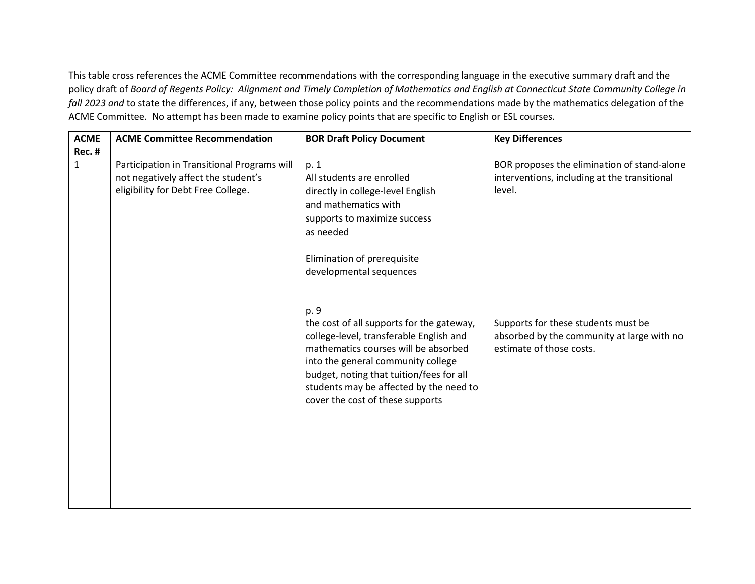This table cross references the ACME Committee recommendations with the corresponding language in the executive summary draft and the policy draft of *Board of Regents Policy: Alignment and Timely Completion of Mathematics and English at Connecticut State Community College in fall 2023 and* to state the differences, if any, between those policy points and the recommendations made by the mathematics delegation of the ACME Committee. No attempt has been made to examine policy points that are specific to English or ESL courses.

| <b>ACME</b>   | <b>ACME Committee Recommendation</b>                                                                                     | <b>BOR Draft Policy Document</b>                                                                                                                                                                                                                                                                      | <b>Key Differences</b>                                                                                        |
|---------------|--------------------------------------------------------------------------------------------------------------------------|-------------------------------------------------------------------------------------------------------------------------------------------------------------------------------------------------------------------------------------------------------------------------------------------------------|---------------------------------------------------------------------------------------------------------------|
| <b>Rec. #</b> |                                                                                                                          |                                                                                                                                                                                                                                                                                                       |                                                                                                               |
| $\mathbf{1}$  | Participation in Transitional Programs will<br>not negatively affect the student's<br>eligibility for Debt Free College. | p. 1<br>All students are enrolled<br>directly in college-level English<br>and mathematics with<br>supports to maximize success<br>as needed<br>Elimination of prerequisite<br>developmental sequences                                                                                                 | BOR proposes the elimination of stand-alone<br>interventions, including at the transitional<br>level.         |
|               |                                                                                                                          | p. 9<br>the cost of all supports for the gateway,<br>college-level, transferable English and<br>mathematics courses will be absorbed<br>into the general community college<br>budget, noting that tuition/fees for all<br>students may be affected by the need to<br>cover the cost of these supports | Supports for these students must be<br>absorbed by the community at large with no<br>estimate of those costs. |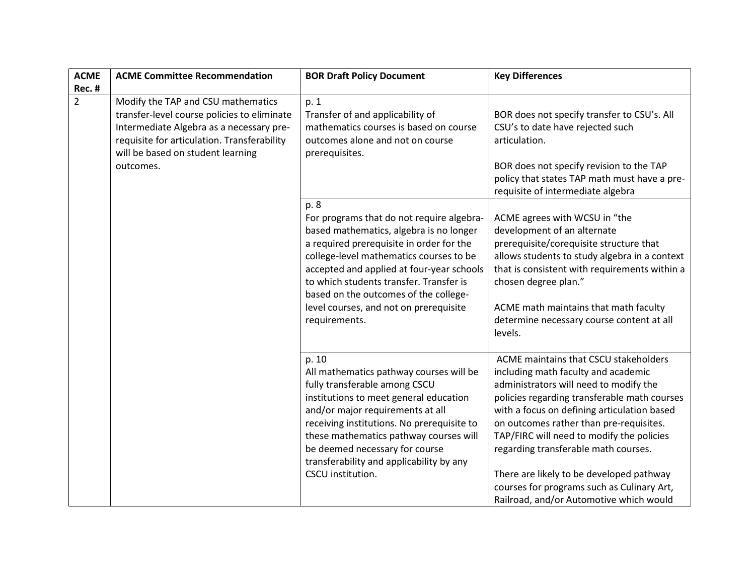| <b>ACME</b>    | <b>ACME Committee Recommendation</b>                                                                                                                                                                                           | <b>BOR Draft Policy Document</b>                                                                                                                                                                                                                                                                                                                                                | <b>Key Differences</b>                                                                                                                                                                                                                                                                                                                                                                                                                                                                     |
|----------------|--------------------------------------------------------------------------------------------------------------------------------------------------------------------------------------------------------------------------------|---------------------------------------------------------------------------------------------------------------------------------------------------------------------------------------------------------------------------------------------------------------------------------------------------------------------------------------------------------------------------------|--------------------------------------------------------------------------------------------------------------------------------------------------------------------------------------------------------------------------------------------------------------------------------------------------------------------------------------------------------------------------------------------------------------------------------------------------------------------------------------------|
| Rec. #         |                                                                                                                                                                                                                                |                                                                                                                                                                                                                                                                                                                                                                                 |                                                                                                                                                                                                                                                                                                                                                                                                                                                                                            |
| $\overline{2}$ | Modify the TAP and CSU mathematics<br>transfer-level course policies to eliminate<br>Intermediate Algebra as a necessary pre-<br>requisite for articulation. Transferability<br>will be based on student learning<br>outcomes. | p. 1<br>Transfer of and applicability of<br>mathematics courses is based on course<br>outcomes alone and not on course<br>prerequisites.                                                                                                                                                                                                                                        | BOR does not specify transfer to CSU's. All<br>CSU's to date have rejected such<br>articulation.<br>BOR does not specify revision to the TAP<br>policy that states TAP math must have a pre-<br>requisite of intermediate algebra                                                                                                                                                                                                                                                          |
|                |                                                                                                                                                                                                                                | p. 8<br>For programs that do not require algebra-<br>based mathematics, algebra is no longer<br>a required prerequisite in order for the<br>college-level mathematics courses to be<br>accepted and applied at four-year schools<br>to which students transfer. Transfer is<br>based on the outcomes of the college-<br>level courses, and not on prerequisite<br>requirements. | ACME agrees with WCSU in "the<br>development of an alternate<br>prerequisite/corequisite structure that<br>allows students to study algebra in a context<br>that is consistent with requirements within a<br>chosen degree plan."<br>ACME math maintains that math faculty<br>determine necessary course content at all<br>levels.                                                                                                                                                         |
|                |                                                                                                                                                                                                                                | p. 10<br>All mathematics pathway courses will be<br>fully transferable among CSCU<br>institutions to meet general education<br>and/or major requirements at all<br>receiving institutions. No prerequisite to<br>these mathematics pathway courses will<br>be deemed necessary for course<br>transferability and applicability by any<br>CSCU institution.                      | ACME maintains that CSCU stakeholders<br>including math faculty and academic<br>administrators will need to modify the<br>policies regarding transferable math courses<br>with a focus on defining articulation based<br>on outcomes rather than pre-requisites.<br>TAP/FIRC will need to modify the policies<br>regarding transferable math courses.<br>There are likely to be developed pathway<br>courses for programs such as Culinary Art,<br>Railroad, and/or Automotive which would |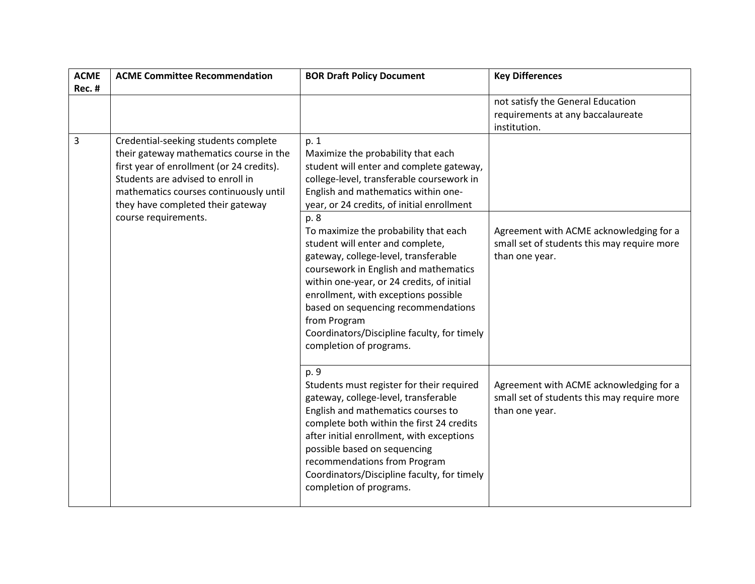| <b>ACME</b> | <b>ACME Committee Recommendation</b>                                                                                                                                                                                                             | <b>BOR Draft Policy Document</b>                                                                                                                                                                                                                                                                                                                                                          | <b>Key Differences</b>                                                                                   |
|-------------|--------------------------------------------------------------------------------------------------------------------------------------------------------------------------------------------------------------------------------------------------|-------------------------------------------------------------------------------------------------------------------------------------------------------------------------------------------------------------------------------------------------------------------------------------------------------------------------------------------------------------------------------------------|----------------------------------------------------------------------------------------------------------|
| Rec. #      |                                                                                                                                                                                                                                                  |                                                                                                                                                                                                                                                                                                                                                                                           |                                                                                                          |
|             |                                                                                                                                                                                                                                                  |                                                                                                                                                                                                                                                                                                                                                                                           | not satisfy the General Education<br>requirements at any baccalaureate<br>institution.                   |
| 3           | Credential-seeking students complete<br>their gateway mathematics course in the<br>first year of enrollment (or 24 credits).<br>Students are advised to enroll in<br>mathematics courses continuously until<br>they have completed their gateway | p. 1<br>Maximize the probability that each<br>student will enter and complete gateway,<br>college-level, transferable coursework in<br>English and mathematics within one-<br>year, or 24 credits, of initial enrollment                                                                                                                                                                  |                                                                                                          |
|             | course requirements.                                                                                                                                                                                                                             | p. 8<br>To maximize the probability that each<br>student will enter and complete,<br>gateway, college-level, transferable<br>coursework in English and mathematics<br>within one-year, or 24 credits, of initial<br>enrollment, with exceptions possible<br>based on sequencing recommendations<br>from Program<br>Coordinators/Discipline faculty, for timely<br>completion of programs. | Agreement with ACME acknowledging for a<br>small set of students this may require more<br>than one year. |
|             |                                                                                                                                                                                                                                                  | p. 9<br>Students must register for their required<br>gateway, college-level, transferable<br>English and mathematics courses to<br>complete both within the first 24 credits<br>after initial enrollment, with exceptions<br>possible based on sequencing<br>recommendations from Program<br>Coordinators/Discipline faculty, for timely<br>completion of programs.                       | Agreement with ACME acknowledging for a<br>small set of students this may require more<br>than one year. |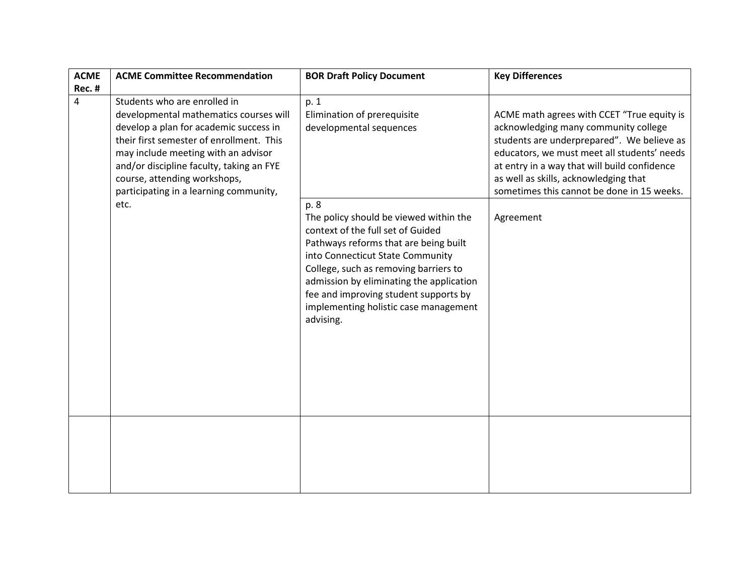| <b>ACME</b> | <b>ACME Committee Recommendation</b>                                                                                                                                                                                                                                                                                              | <b>BOR Draft Policy Document</b>                                                                                                                                                                                                                                            | <b>Key Differences</b>                                                                                                                                                                                                                                                                                                              |
|-------------|-----------------------------------------------------------------------------------------------------------------------------------------------------------------------------------------------------------------------------------------------------------------------------------------------------------------------------------|-----------------------------------------------------------------------------------------------------------------------------------------------------------------------------------------------------------------------------------------------------------------------------|-------------------------------------------------------------------------------------------------------------------------------------------------------------------------------------------------------------------------------------------------------------------------------------------------------------------------------------|
| Rec. #      |                                                                                                                                                                                                                                                                                                                                   |                                                                                                                                                                                                                                                                             |                                                                                                                                                                                                                                                                                                                                     |
| 4           | Students who are enrolled in<br>developmental mathematics courses will<br>develop a plan for academic success in<br>their first semester of enrollment. This<br>may include meeting with an advisor<br>and/or discipline faculty, taking an FYE<br>course, attending workshops,<br>participating in a learning community,<br>etc. | p. 1<br>Elimination of prerequisite<br>developmental sequences<br>p. 8<br>The policy should be viewed within the<br>context of the full set of Guided<br>Pathways reforms that are being built<br>into Connecticut State Community<br>College, such as removing barriers to | ACME math agrees with CCET "True equity is<br>acknowledging many community college<br>students are underprepared". We believe as<br>educators, we must meet all students' needs<br>at entry in a way that will build confidence<br>as well as skills, acknowledging that<br>sometimes this cannot be done in 15 weeks.<br>Agreement |
|             |                                                                                                                                                                                                                                                                                                                                   | admission by eliminating the application<br>fee and improving student supports by<br>implementing holistic case management<br>advising.                                                                                                                                     |                                                                                                                                                                                                                                                                                                                                     |
|             |                                                                                                                                                                                                                                                                                                                                   |                                                                                                                                                                                                                                                                             |                                                                                                                                                                                                                                                                                                                                     |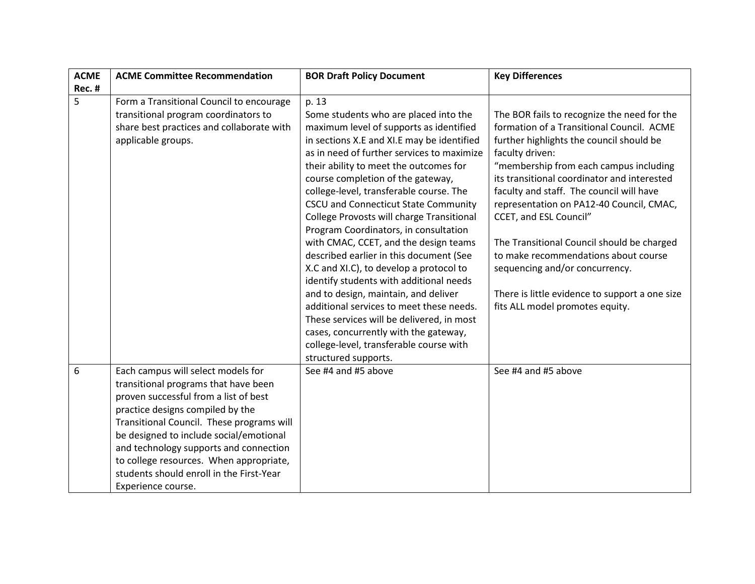| <b>ACME</b> | <b>ACME Committee Recommendation</b>                                                                                                                                                                                                                                                                                                                                                                   | <b>BOR Draft Policy Document</b>                                                                                                                                                                                                                                                                                                                                                                                                                                                                                                                                                                                                                                                                                                                                                                                                                                     | <b>Key Differences</b>                                                                                                                                                                                                                                                                                                                                                                                                                                                                                                                                                          |
|-------------|--------------------------------------------------------------------------------------------------------------------------------------------------------------------------------------------------------------------------------------------------------------------------------------------------------------------------------------------------------------------------------------------------------|----------------------------------------------------------------------------------------------------------------------------------------------------------------------------------------------------------------------------------------------------------------------------------------------------------------------------------------------------------------------------------------------------------------------------------------------------------------------------------------------------------------------------------------------------------------------------------------------------------------------------------------------------------------------------------------------------------------------------------------------------------------------------------------------------------------------------------------------------------------------|---------------------------------------------------------------------------------------------------------------------------------------------------------------------------------------------------------------------------------------------------------------------------------------------------------------------------------------------------------------------------------------------------------------------------------------------------------------------------------------------------------------------------------------------------------------------------------|
| Rec. #      |                                                                                                                                                                                                                                                                                                                                                                                                        |                                                                                                                                                                                                                                                                                                                                                                                                                                                                                                                                                                                                                                                                                                                                                                                                                                                                      |                                                                                                                                                                                                                                                                                                                                                                                                                                                                                                                                                                                 |
| 5           | Form a Transitional Council to encourage<br>transitional program coordinators to<br>share best practices and collaborate with<br>applicable groups.                                                                                                                                                                                                                                                    | p. 13<br>Some students who are placed into the<br>maximum level of supports as identified<br>in sections X.E and XI.E may be identified<br>as in need of further services to maximize<br>their ability to meet the outcomes for<br>course completion of the gateway,<br>college-level, transferable course. The<br>CSCU and Connecticut State Community<br>College Provosts will charge Transitional<br>Program Coordinators, in consultation<br>with CMAC, CCET, and the design teams<br>described earlier in this document (See<br>X.C and XI.C), to develop a protocol to<br>identify students with additional needs<br>and to design, maintain, and deliver<br>additional services to meet these needs.<br>These services will be delivered, in most<br>cases, concurrently with the gateway,<br>college-level, transferable course with<br>structured supports. | The BOR fails to recognize the need for the<br>formation of a Transitional Council. ACME<br>further highlights the council should be<br>faculty driven:<br>"membership from each campus including<br>its transitional coordinator and interested<br>faculty and staff. The council will have<br>representation on PA12-40 Council, CMAC,<br>CCET, and ESL Council"<br>The Transitional Council should be charged<br>to make recommendations about course<br>sequencing and/or concurrency.<br>There is little evidence to support a one size<br>fits ALL model promotes equity. |
| 6           | Each campus will select models for<br>transitional programs that have been<br>proven successful from a list of best<br>practice designs compiled by the<br>Transitional Council. These programs will<br>be designed to include social/emotional<br>and technology supports and connection<br>to college resources. When appropriate,<br>students should enroll in the First-Year<br>Experience course. | See #4 and #5 above                                                                                                                                                                                                                                                                                                                                                                                                                                                                                                                                                                                                                                                                                                                                                                                                                                                  | See #4 and #5 above                                                                                                                                                                                                                                                                                                                                                                                                                                                                                                                                                             |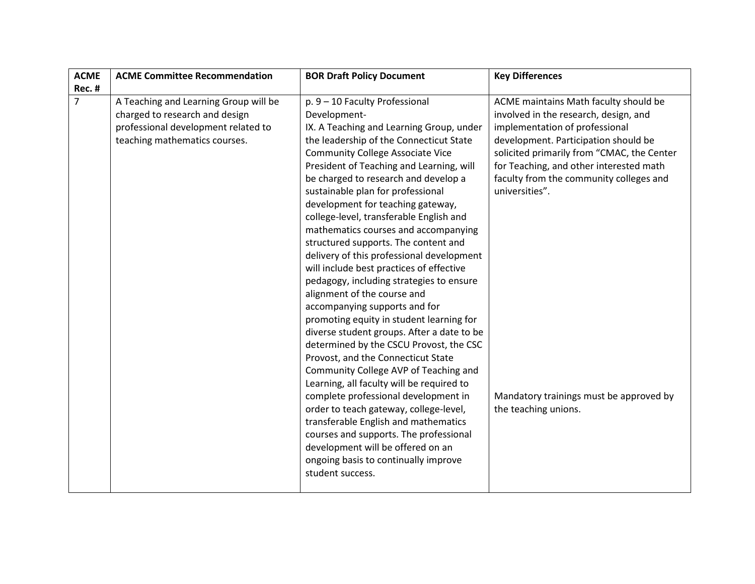| <b>ACME</b>    | <b>ACME Committee Recommendation</b>                                                                                                            | <b>BOR Draft Policy Document</b>                                                                                                                                                                                                                                                                                                                                                                                                                                                                                                                                                                                                                                                                                                                                                                                                                                                                                                                                                                                                                                                                                                                                                                                     | <b>Key Differences</b>                                                                                                                                                                                                                                                                                                                                                            |
|----------------|-------------------------------------------------------------------------------------------------------------------------------------------------|----------------------------------------------------------------------------------------------------------------------------------------------------------------------------------------------------------------------------------------------------------------------------------------------------------------------------------------------------------------------------------------------------------------------------------------------------------------------------------------------------------------------------------------------------------------------------------------------------------------------------------------------------------------------------------------------------------------------------------------------------------------------------------------------------------------------------------------------------------------------------------------------------------------------------------------------------------------------------------------------------------------------------------------------------------------------------------------------------------------------------------------------------------------------------------------------------------------------|-----------------------------------------------------------------------------------------------------------------------------------------------------------------------------------------------------------------------------------------------------------------------------------------------------------------------------------------------------------------------------------|
| Rec. #         |                                                                                                                                                 |                                                                                                                                                                                                                                                                                                                                                                                                                                                                                                                                                                                                                                                                                                                                                                                                                                                                                                                                                                                                                                                                                                                                                                                                                      |                                                                                                                                                                                                                                                                                                                                                                                   |
| $\overline{7}$ | A Teaching and Learning Group will be<br>charged to research and design<br>professional development related to<br>teaching mathematics courses. | p. 9 - 10 Faculty Professional<br>Development-<br>IX. A Teaching and Learning Group, under<br>the leadership of the Connecticut State<br><b>Community College Associate Vice</b><br>President of Teaching and Learning, will<br>be charged to research and develop a<br>sustainable plan for professional<br>development for teaching gateway,<br>college-level, transferable English and<br>mathematics courses and accompanying<br>structured supports. The content and<br>delivery of this professional development<br>will include best practices of effective<br>pedagogy, including strategies to ensure<br>alignment of the course and<br>accompanying supports and for<br>promoting equity in student learning for<br>diverse student groups. After a date to be<br>determined by the CSCU Provost, the CSC<br>Provost, and the Connecticut State<br>Community College AVP of Teaching and<br>Learning, all faculty will be required to<br>complete professional development in<br>order to teach gateway, college-level,<br>transferable English and mathematics<br>courses and supports. The professional<br>development will be offered on an<br>ongoing basis to continually improve<br>student success. | ACME maintains Math faculty should be<br>involved in the research, design, and<br>implementation of professional<br>development. Participation should be<br>solicited primarily from "CMAC, the Center<br>for Teaching, and other interested math<br>faculty from the community colleges and<br>universities".<br>Mandatory trainings must be approved by<br>the teaching unions. |
|                |                                                                                                                                                 |                                                                                                                                                                                                                                                                                                                                                                                                                                                                                                                                                                                                                                                                                                                                                                                                                                                                                                                                                                                                                                                                                                                                                                                                                      |                                                                                                                                                                                                                                                                                                                                                                                   |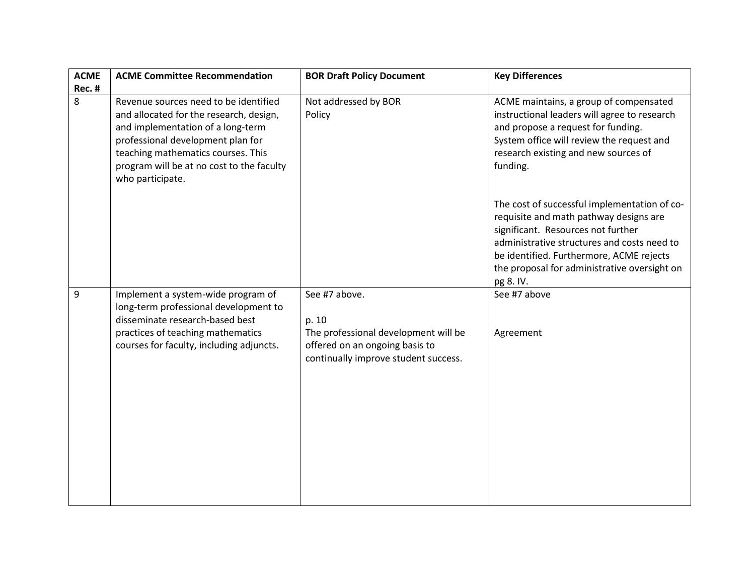| <b>ACME</b>   | <b>ACME Committee Recommendation</b>                                                                                                                                                                                                                              | <b>BOR Draft Policy Document</b>                                                                                                         | <b>Key Differences</b>                                                                                                                                                                                                                                                               |
|---------------|-------------------------------------------------------------------------------------------------------------------------------------------------------------------------------------------------------------------------------------------------------------------|------------------------------------------------------------------------------------------------------------------------------------------|--------------------------------------------------------------------------------------------------------------------------------------------------------------------------------------------------------------------------------------------------------------------------------------|
| <b>Rec. #</b> |                                                                                                                                                                                                                                                                   |                                                                                                                                          |                                                                                                                                                                                                                                                                                      |
| 8             | Revenue sources need to be identified<br>and allocated for the research, design,<br>and implementation of a long-term<br>professional development plan for<br>teaching mathematics courses. This<br>program will be at no cost to the faculty<br>who participate. | Not addressed by BOR<br>Policy                                                                                                           | ACME maintains, a group of compensated<br>instructional leaders will agree to research<br>and propose a request for funding.<br>System office will review the request and<br>research existing and new sources of<br>funding.                                                        |
|               |                                                                                                                                                                                                                                                                   |                                                                                                                                          | The cost of successful implementation of co-<br>requisite and math pathway designs are<br>significant. Resources not further<br>administrative structures and costs need to<br>be identified. Furthermore, ACME rejects<br>the proposal for administrative oversight on<br>pg 8. IV. |
| 9             | Implement a system-wide program of<br>long-term professional development to<br>disseminate research-based best<br>practices of teaching mathematics<br>courses for faculty, including adjuncts.                                                                   | See #7 above.<br>p. 10<br>The professional development will be<br>offered on an ongoing basis to<br>continually improve student success. | See #7 above<br>Agreement                                                                                                                                                                                                                                                            |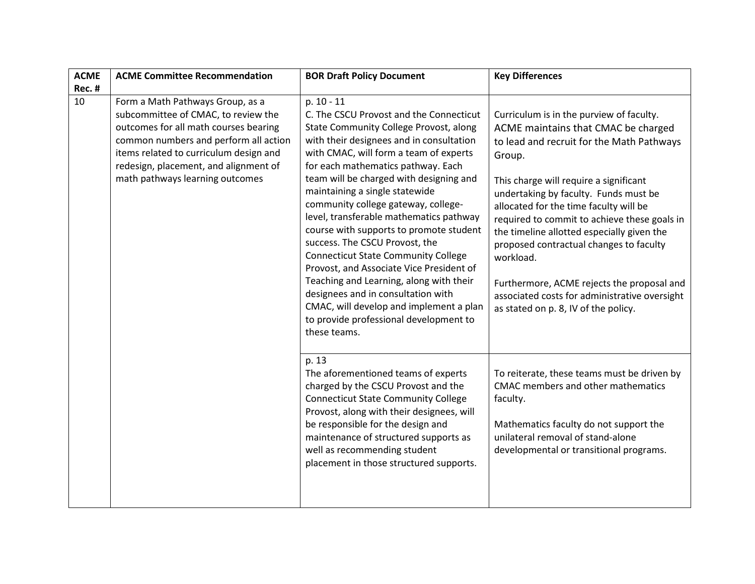| <b>ACME</b><br><b>Rec. #</b> | <b>ACME Committee Recommendation</b>                                                                                                                                                                                                                                            | <b>BOR Draft Policy Document</b>                                                                                                                                                                                                                                                                                                                                                                                                                                                                                                                                                                                                                                                                                                                        | <b>Key Differences</b>                                                                                                                                                                                                                                                                                                                                                                                                                                                                                                                                           |
|------------------------------|---------------------------------------------------------------------------------------------------------------------------------------------------------------------------------------------------------------------------------------------------------------------------------|---------------------------------------------------------------------------------------------------------------------------------------------------------------------------------------------------------------------------------------------------------------------------------------------------------------------------------------------------------------------------------------------------------------------------------------------------------------------------------------------------------------------------------------------------------------------------------------------------------------------------------------------------------------------------------------------------------------------------------------------------------|------------------------------------------------------------------------------------------------------------------------------------------------------------------------------------------------------------------------------------------------------------------------------------------------------------------------------------------------------------------------------------------------------------------------------------------------------------------------------------------------------------------------------------------------------------------|
| 10                           | Form a Math Pathways Group, as a<br>subcommittee of CMAC, to review the<br>outcomes for all math courses bearing<br>common numbers and perform all action<br>items related to curriculum design and<br>redesign, placement, and alignment of<br>math pathways learning outcomes | p. 10 - 11<br>C. The CSCU Provost and the Connecticut<br>State Community College Provost, along<br>with their designees and in consultation<br>with CMAC, will form a team of experts<br>for each mathematics pathway. Each<br>team will be charged with designing and<br>maintaining a single statewide<br>community college gateway, college-<br>level, transferable mathematics pathway<br>course with supports to promote student<br>success. The CSCU Provost, the<br><b>Connecticut State Community College</b><br>Provost, and Associate Vice President of<br>Teaching and Learning, along with their<br>designees and in consultation with<br>CMAC, will develop and implement a plan<br>to provide professional development to<br>these teams. | Curriculum is in the purview of faculty.<br>ACME maintains that CMAC be charged<br>to lead and recruit for the Math Pathways<br>Group.<br>This charge will require a significant<br>undertaking by faculty. Funds must be<br>allocated for the time faculty will be<br>required to commit to achieve these goals in<br>the timeline allotted especially given the<br>proposed contractual changes to faculty<br>workload.<br>Furthermore, ACME rejects the proposal and<br>associated costs for administrative oversight<br>as stated on p. 8, IV of the policy. |
|                              |                                                                                                                                                                                                                                                                                 | p. 13<br>The aforementioned teams of experts<br>charged by the CSCU Provost and the<br><b>Connecticut State Community College</b><br>Provost, along with their designees, will<br>be responsible for the design and<br>maintenance of structured supports as<br>well as recommending student<br>placement in those structured supports.                                                                                                                                                                                                                                                                                                                                                                                                                 | To reiterate, these teams must be driven by<br>CMAC members and other mathematics<br>faculty.<br>Mathematics faculty do not support the<br>unilateral removal of stand-alone<br>developmental or transitional programs.                                                                                                                                                                                                                                                                                                                                          |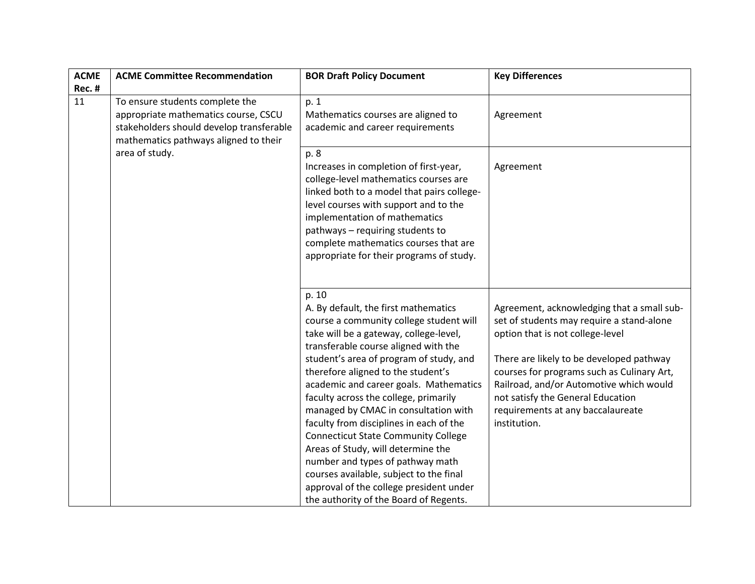| <b>ACME</b><br><b>Rec. #</b> | <b>ACME Committee Recommendation</b>                                                                                                                         | <b>BOR Draft Policy Document</b>                                                                                                                                                                                                                                                                                                                                                                                                                                                                                                                                                                                                                                                          | <b>Key Differences</b>                                                                                                                                                                                                                                                                                                                                     |
|------------------------------|--------------------------------------------------------------------------------------------------------------------------------------------------------------|-------------------------------------------------------------------------------------------------------------------------------------------------------------------------------------------------------------------------------------------------------------------------------------------------------------------------------------------------------------------------------------------------------------------------------------------------------------------------------------------------------------------------------------------------------------------------------------------------------------------------------------------------------------------------------------------|------------------------------------------------------------------------------------------------------------------------------------------------------------------------------------------------------------------------------------------------------------------------------------------------------------------------------------------------------------|
| 11                           | To ensure students complete the<br>appropriate mathematics course, CSCU<br>stakeholders should develop transferable<br>mathematics pathways aligned to their | p. 1<br>Mathematics courses are aligned to<br>academic and career requirements                                                                                                                                                                                                                                                                                                                                                                                                                                                                                                                                                                                                            | Agreement                                                                                                                                                                                                                                                                                                                                                  |
| area of study.               |                                                                                                                                                              | p. 8<br>Increases in completion of first-year,<br>college-level mathematics courses are<br>linked both to a model that pairs college-<br>level courses with support and to the<br>implementation of mathematics<br>pathways - requiring students to<br>complete mathematics courses that are<br>appropriate for their programs of study.                                                                                                                                                                                                                                                                                                                                                  | Agreement                                                                                                                                                                                                                                                                                                                                                  |
|                              |                                                                                                                                                              | p. 10<br>A. By default, the first mathematics<br>course a community college student will<br>take will be a gateway, college-level,<br>transferable course aligned with the<br>student's area of program of study, and<br>therefore aligned to the student's<br>academic and career goals. Mathematics<br>faculty across the college, primarily<br>managed by CMAC in consultation with<br>faculty from disciplines in each of the<br><b>Connecticut State Community College</b><br>Areas of Study, will determine the<br>number and types of pathway math<br>courses available, subject to the final<br>approval of the college president under<br>the authority of the Board of Regents. | Agreement, acknowledging that a small sub-<br>set of students may require a stand-alone<br>option that is not college-level<br>There are likely to be developed pathway<br>courses for programs such as Culinary Art,<br>Railroad, and/or Automotive which would<br>not satisfy the General Education<br>requirements at any baccalaureate<br>institution. |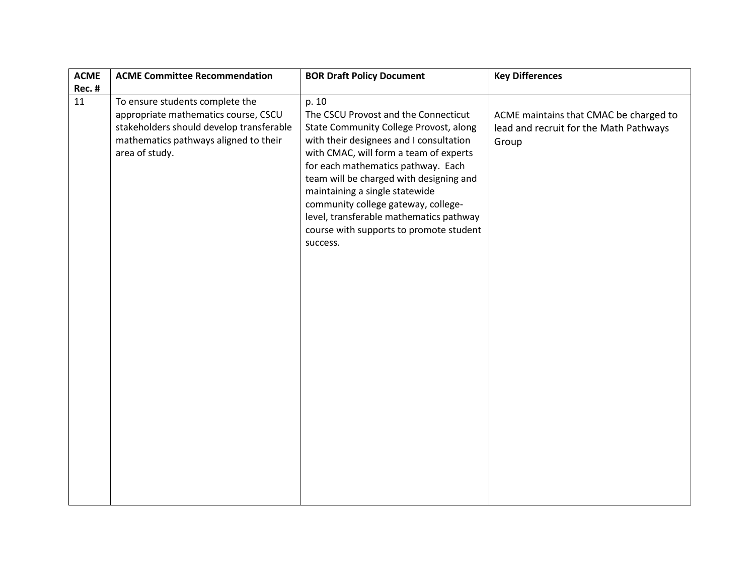| <b>ACME</b> | <b>ACME Committee Recommendation</b>                                                                                                                                           | <b>BOR Draft Policy Document</b>                                                                                                                                                                                                                                                                                                                                                                                                         | <b>Key Differences</b>                                                                    |
|-------------|--------------------------------------------------------------------------------------------------------------------------------------------------------------------------------|------------------------------------------------------------------------------------------------------------------------------------------------------------------------------------------------------------------------------------------------------------------------------------------------------------------------------------------------------------------------------------------------------------------------------------------|-------------------------------------------------------------------------------------------|
| Rec. #      |                                                                                                                                                                                |                                                                                                                                                                                                                                                                                                                                                                                                                                          |                                                                                           |
| 11          | To ensure students complete the<br>appropriate mathematics course, CSCU<br>stakeholders should develop transferable<br>mathematics pathways aligned to their<br>area of study. | p. 10<br>The CSCU Provost and the Connecticut<br>State Community College Provost, along<br>with their designees and I consultation<br>with CMAC, will form a team of experts<br>for each mathematics pathway. Each<br>team will be charged with designing and<br>maintaining a single statewide<br>community college gateway, college-<br>level, transferable mathematics pathway<br>course with supports to promote student<br>success. | ACME maintains that CMAC be charged to<br>lead and recruit for the Math Pathways<br>Group |
|             |                                                                                                                                                                                |                                                                                                                                                                                                                                                                                                                                                                                                                                          |                                                                                           |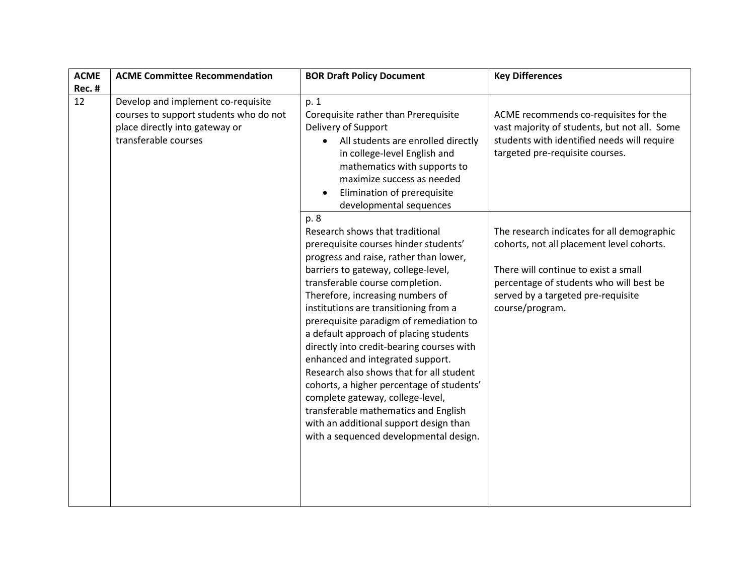| <b>ACME</b>   | <b>ACME Committee Recommendation</b>                                                                                                   | <b>BOR Draft Policy Document</b>                                                                                                                                                                                                                                                                                                                                                                                                                                                                                                                                                                                                                                                                                 | <b>Key Differences</b>                                                                                                                                                                                                              |
|---------------|----------------------------------------------------------------------------------------------------------------------------------------|------------------------------------------------------------------------------------------------------------------------------------------------------------------------------------------------------------------------------------------------------------------------------------------------------------------------------------------------------------------------------------------------------------------------------------------------------------------------------------------------------------------------------------------------------------------------------------------------------------------------------------------------------------------------------------------------------------------|-------------------------------------------------------------------------------------------------------------------------------------------------------------------------------------------------------------------------------------|
| <b>Rec. #</b> |                                                                                                                                        |                                                                                                                                                                                                                                                                                                                                                                                                                                                                                                                                                                                                                                                                                                                  |                                                                                                                                                                                                                                     |
| 12            | Develop and implement co-requisite<br>courses to support students who do not<br>place directly into gateway or<br>transferable courses | p. 1<br>Corequisite rather than Prerequisite<br>Delivery of Support<br>All students are enrolled directly<br>in college-level English and<br>mathematics with supports to<br>maximize success as needed<br>Elimination of prerequisite<br>developmental sequences                                                                                                                                                                                                                                                                                                                                                                                                                                                | ACME recommends co-requisites for the<br>vast majority of students, but not all. Some<br>students with identified needs will require<br>targeted pre-requisite courses.                                                             |
|               |                                                                                                                                        | p. 8<br>Research shows that traditional<br>prerequisite courses hinder students'<br>progress and raise, rather than lower,<br>barriers to gateway, college-level,<br>transferable course completion.<br>Therefore, increasing numbers of<br>institutions are transitioning from a<br>prerequisite paradigm of remediation to<br>a default approach of placing students<br>directly into credit-bearing courses with<br>enhanced and integrated support.<br>Research also shows that for all student<br>cohorts, a higher percentage of students'<br>complete gateway, college-level,<br>transferable mathematics and English<br>with an additional support design than<br>with a sequenced developmental design. | The research indicates for all demographic<br>cohorts, not all placement level cohorts.<br>There will continue to exist a small<br>percentage of students who will best be<br>served by a targeted pre-requisite<br>course/program. |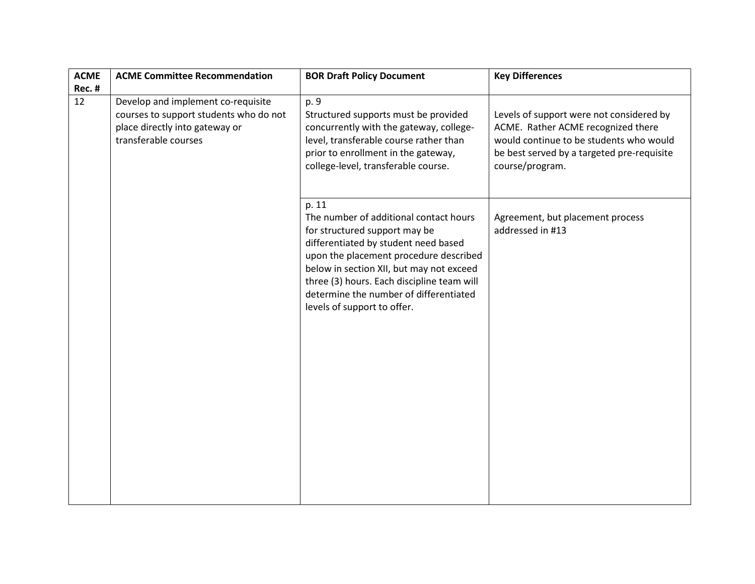| <b>ACME</b>   | <b>ACME Committee Recommendation</b>                                                                                                   | <b>BOR Draft Policy Document</b>                                                                                                                                                                                                                                                                                                      | <b>Key Differences</b>                                                                                                                                                                     |
|---------------|----------------------------------------------------------------------------------------------------------------------------------------|---------------------------------------------------------------------------------------------------------------------------------------------------------------------------------------------------------------------------------------------------------------------------------------------------------------------------------------|--------------------------------------------------------------------------------------------------------------------------------------------------------------------------------------------|
| <b>Rec. #</b> |                                                                                                                                        |                                                                                                                                                                                                                                                                                                                                       |                                                                                                                                                                                            |
| 12            | Develop and implement co-requisite<br>courses to support students who do not<br>place directly into gateway or<br>transferable courses | p. 9<br>Structured supports must be provided<br>concurrently with the gateway, college-<br>level, transferable course rather than<br>prior to enrollment in the gateway,<br>college-level, transferable course.                                                                                                                       | Levels of support were not considered by<br>ACME. Rather ACME recognized there<br>would continue to be students who would<br>be best served by a targeted pre-requisite<br>course/program. |
|               |                                                                                                                                        | p. 11<br>The number of additional contact hours<br>for structured support may be<br>differentiated by student need based<br>upon the placement procedure described<br>below in section XII, but may not exceed<br>three (3) hours. Each discipline team will<br>determine the number of differentiated<br>levels of support to offer. | Agreement, but placement process<br>addressed in #13                                                                                                                                       |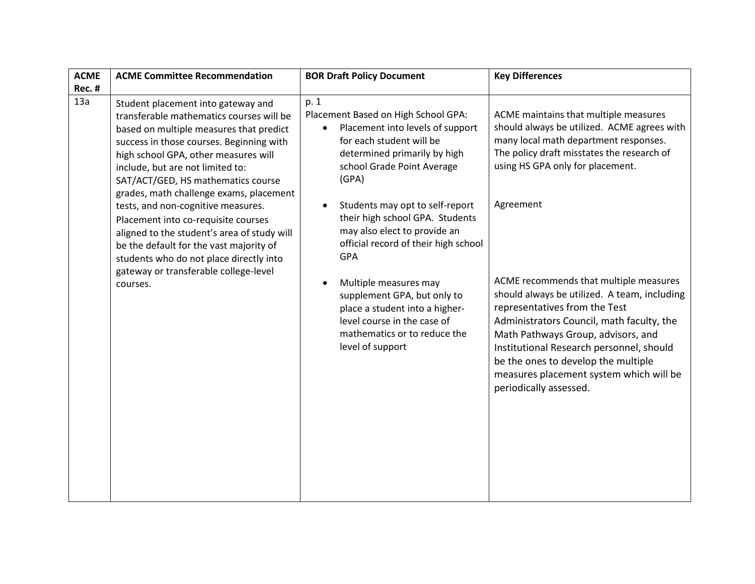| <b>ACME</b>   | <b>ACME Committee Recommendation</b>                                                                                                                                                                                                                                                                                               | <b>BOR Draft Policy Document</b>                                                                                                                                                                                                                                                                                                      | <b>Key Differences</b>                                                                                                                                                                                                                                                                                                                                                          |
|---------------|------------------------------------------------------------------------------------------------------------------------------------------------------------------------------------------------------------------------------------------------------------------------------------------------------------------------------------|---------------------------------------------------------------------------------------------------------------------------------------------------------------------------------------------------------------------------------------------------------------------------------------------------------------------------------------|---------------------------------------------------------------------------------------------------------------------------------------------------------------------------------------------------------------------------------------------------------------------------------------------------------------------------------------------------------------------------------|
| <b>Rec. #</b> |                                                                                                                                                                                                                                                                                                                                    |                                                                                                                                                                                                                                                                                                                                       |                                                                                                                                                                                                                                                                                                                                                                                 |
| 13a           | Student placement into gateway and<br>transferable mathematics courses will be<br>based on multiple measures that predict<br>success in those courses. Beginning with<br>high school GPA, other measures will<br>include, but are not limited to:<br>SAT/ACT/GED, HS mathematics course<br>grades, math challenge exams, placement | p. 1<br>Placement Based on High School GPA:<br>Placement into levels of support<br>for each student will be<br>determined primarily by high<br>school Grade Point Average<br>(GPA)                                                                                                                                                    | ACME maintains that multiple measures<br>should always be utilized. ACME agrees with<br>many local math department responses.<br>The policy draft misstates the research of<br>using HS GPA only for placement.                                                                                                                                                                 |
|               | tests, and non-cognitive measures.<br>Placement into co-requisite courses<br>aligned to the student's area of study will<br>be the default for the vast majority of<br>students who do not place directly into<br>gateway or transferable college-level<br>courses.                                                                | Students may opt to self-report<br>their high school GPA. Students<br>may also elect to provide an<br>official record of their high school<br><b>GPA</b><br>Multiple measures may<br>supplement GPA, but only to<br>place a student into a higher-<br>level course in the case of<br>mathematics or to reduce the<br>level of support | Agreement<br>ACME recommends that multiple measures<br>should always be utilized. A team, including<br>representatives from the Test<br>Administrators Council, math faculty, the<br>Math Pathways Group, advisors, and<br>Institutional Research personnel, should<br>be the ones to develop the multiple<br>measures placement system which will be<br>periodically assessed. |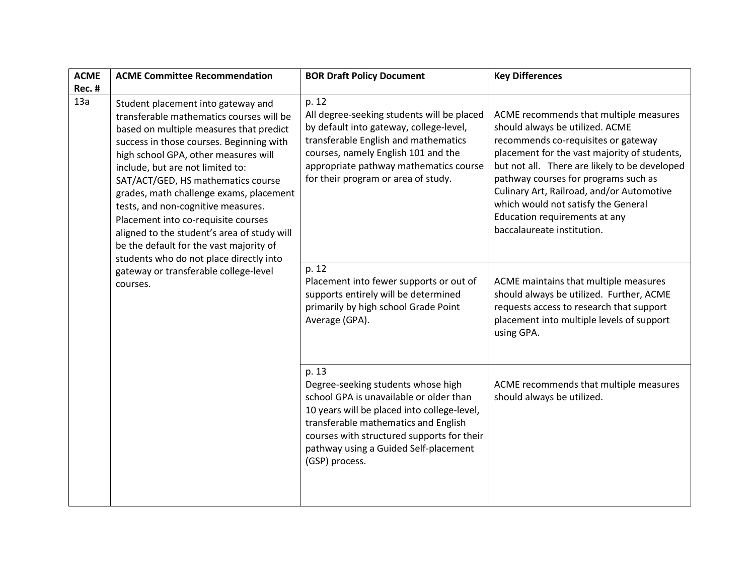| <b>ACME</b>   | <b>ACME Committee Recommendation</b>                                                                                                                                                                                                                                                                                                                                                                                                                                                                                                                                                                      | <b>BOR Draft Policy Document</b>                                                                                                                                                                                                                                                       | <b>Key Differences</b>                                                                                                                                                                                                                                                                                                                                                                                       |
|---------------|-----------------------------------------------------------------------------------------------------------------------------------------------------------------------------------------------------------------------------------------------------------------------------------------------------------------------------------------------------------------------------------------------------------------------------------------------------------------------------------------------------------------------------------------------------------------------------------------------------------|----------------------------------------------------------------------------------------------------------------------------------------------------------------------------------------------------------------------------------------------------------------------------------------|--------------------------------------------------------------------------------------------------------------------------------------------------------------------------------------------------------------------------------------------------------------------------------------------------------------------------------------------------------------------------------------------------------------|
| <b>Rec. #</b> |                                                                                                                                                                                                                                                                                                                                                                                                                                                                                                                                                                                                           |                                                                                                                                                                                                                                                                                        |                                                                                                                                                                                                                                                                                                                                                                                                              |
| 13a           | Student placement into gateway and<br>transferable mathematics courses will be<br>based on multiple measures that predict<br>success in those courses. Beginning with<br>high school GPA, other measures will<br>include, but are not limited to:<br>SAT/ACT/GED, HS mathematics course<br>grades, math challenge exams, placement<br>tests, and non-cognitive measures.<br>Placement into co-requisite courses<br>aligned to the student's area of study will<br>be the default for the vast majority of<br>students who do not place directly into<br>gateway or transferable college-level<br>courses. | p. 12<br>All degree-seeking students will be placed<br>by default into gateway, college-level,<br>transferable English and mathematics<br>courses, namely English 101 and the<br>appropriate pathway mathematics course<br>for their program or area of study.                         | ACME recommends that multiple measures<br>should always be utilized. ACME<br>recommends co-requisites or gateway<br>placement for the vast majority of students,<br>but not all. There are likely to be developed<br>pathway courses for programs such as<br>Culinary Art, Railroad, and/or Automotive<br>which would not satisfy the General<br>Education requirements at any<br>baccalaureate institution. |
|               |                                                                                                                                                                                                                                                                                                                                                                                                                                                                                                                                                                                                           | p. 12<br>Placement into fewer supports or out of<br>supports entirely will be determined<br>primarily by high school Grade Point<br>Average (GPA).                                                                                                                                     | ACME maintains that multiple measures<br>should always be utilized. Further, ACME<br>requests access to research that support<br>placement into multiple levels of support<br>using GPA.                                                                                                                                                                                                                     |
|               |                                                                                                                                                                                                                                                                                                                                                                                                                                                                                                                                                                                                           | p. 13<br>Degree-seeking students whose high<br>school GPA is unavailable or older than<br>10 years will be placed into college-level,<br>transferable mathematics and English<br>courses with structured supports for their<br>pathway using a Guided Self-placement<br>(GSP) process. | ACME recommends that multiple measures<br>should always be utilized.                                                                                                                                                                                                                                                                                                                                         |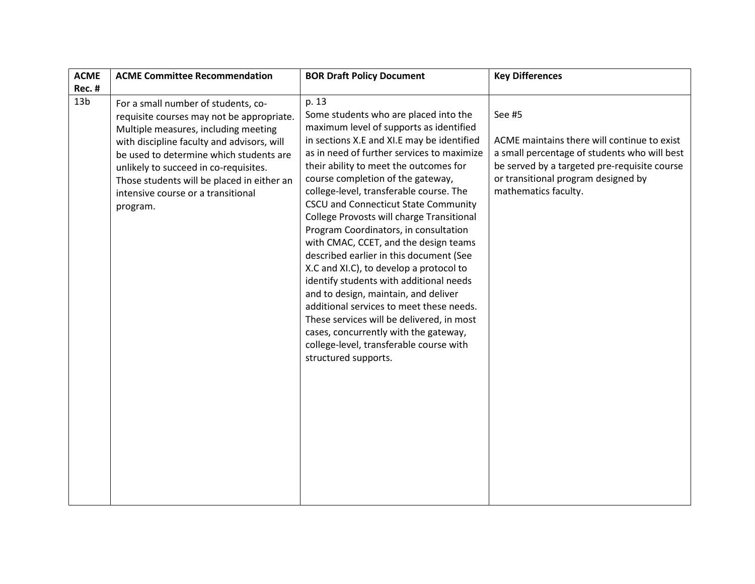| <b>ACME</b><br><b>Rec. #</b> | <b>ACME Committee Recommendation</b>                                                                                                                                                                                                                                                                                                                       | <b>BOR Draft Policy Document</b>                                                                                                                                                                                                                                                                                                                                                                                                                                                                                                                                                                                                                                                                                                                                                                                                                                     | <b>Key Differences</b>                                                                                                                                                                                               |
|------------------------------|------------------------------------------------------------------------------------------------------------------------------------------------------------------------------------------------------------------------------------------------------------------------------------------------------------------------------------------------------------|----------------------------------------------------------------------------------------------------------------------------------------------------------------------------------------------------------------------------------------------------------------------------------------------------------------------------------------------------------------------------------------------------------------------------------------------------------------------------------------------------------------------------------------------------------------------------------------------------------------------------------------------------------------------------------------------------------------------------------------------------------------------------------------------------------------------------------------------------------------------|----------------------------------------------------------------------------------------------------------------------------------------------------------------------------------------------------------------------|
| 13 <sub>b</sub>              | For a small number of students, co-<br>requisite courses may not be appropriate.<br>Multiple measures, including meeting<br>with discipline faculty and advisors, will<br>be used to determine which students are<br>unlikely to succeed in co-requisites.<br>Those students will be placed in either an<br>intensive course or a transitional<br>program. | p. 13<br>Some students who are placed into the<br>maximum level of supports as identified<br>in sections X.E and XI.E may be identified<br>as in need of further services to maximize<br>their ability to meet the outcomes for<br>course completion of the gateway,<br>college-level, transferable course. The<br>CSCU and Connecticut State Community<br>College Provosts will charge Transitional<br>Program Coordinators, in consultation<br>with CMAC, CCET, and the design teams<br>described earlier in this document (See<br>X.C and XI.C), to develop a protocol to<br>identify students with additional needs<br>and to design, maintain, and deliver<br>additional services to meet these needs.<br>These services will be delivered, in most<br>cases, concurrently with the gateway,<br>college-level, transferable course with<br>structured supports. | See #5<br>ACME maintains there will continue to exist<br>a small percentage of students who will best<br>be served by a targeted pre-requisite course<br>or transitional program designed by<br>mathematics faculty. |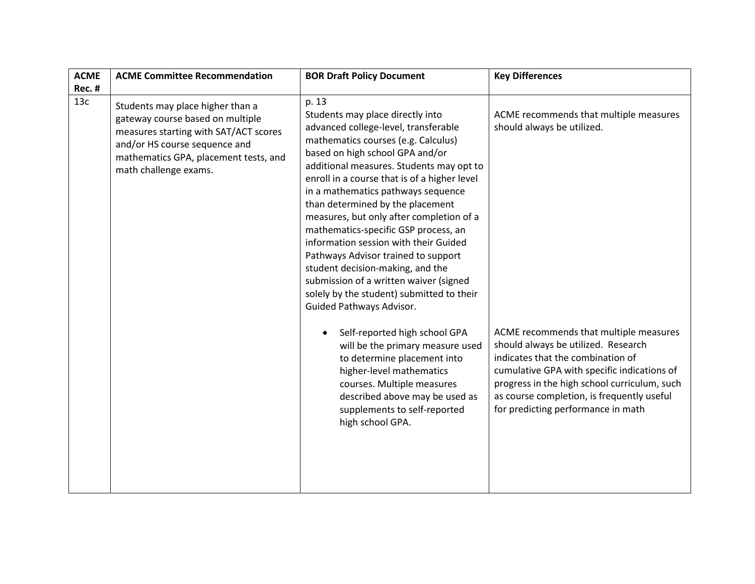| <b>ACME</b>   | <b>ACME Committee Recommendation</b>                                                                                                                                                                             | <b>BOR Draft Policy Document</b>                                                                                                                                                                                                                                                                                                                                                                                                                                                                                                                                                                                                                                                                                                                                                                                                                                                                                 | <b>Key Differences</b>                                                                                                                                                                                                                                                                                                                                                        |
|---------------|------------------------------------------------------------------------------------------------------------------------------------------------------------------------------------------------------------------|------------------------------------------------------------------------------------------------------------------------------------------------------------------------------------------------------------------------------------------------------------------------------------------------------------------------------------------------------------------------------------------------------------------------------------------------------------------------------------------------------------------------------------------------------------------------------------------------------------------------------------------------------------------------------------------------------------------------------------------------------------------------------------------------------------------------------------------------------------------------------------------------------------------|-------------------------------------------------------------------------------------------------------------------------------------------------------------------------------------------------------------------------------------------------------------------------------------------------------------------------------------------------------------------------------|
| <b>Rec. #</b> |                                                                                                                                                                                                                  |                                                                                                                                                                                                                                                                                                                                                                                                                                                                                                                                                                                                                                                                                                                                                                                                                                                                                                                  |                                                                                                                                                                                                                                                                                                                                                                               |
| 13c           | Students may place higher than a<br>gateway course based on multiple<br>measures starting with SAT/ACT scores<br>and/or HS course sequence and<br>mathematics GPA, placement tests, and<br>math challenge exams. | p. 13<br>Students may place directly into<br>advanced college-level, transferable<br>mathematics courses (e.g. Calculus)<br>based on high school GPA and/or<br>additional measures. Students may opt to<br>enroll in a course that is of a higher level<br>in a mathematics pathways sequence<br>than determined by the placement<br>measures, but only after completion of a<br>mathematics-specific GSP process, an<br>information session with their Guided<br>Pathways Advisor trained to support<br>student decision-making, and the<br>submission of a written waiver (signed<br>solely by the student) submitted to their<br>Guided Pathways Advisor.<br>Self-reported high school GPA<br>will be the primary measure used<br>to determine placement into<br>higher-level mathematics<br>courses. Multiple measures<br>described above may be used as<br>supplements to self-reported<br>high school GPA. | ACME recommends that multiple measures<br>should always be utilized.<br>ACME recommends that multiple measures<br>should always be utilized. Research<br>indicates that the combination of<br>cumulative GPA with specific indications of<br>progress in the high school curriculum, such<br>as course completion, is frequently useful<br>for predicting performance in math |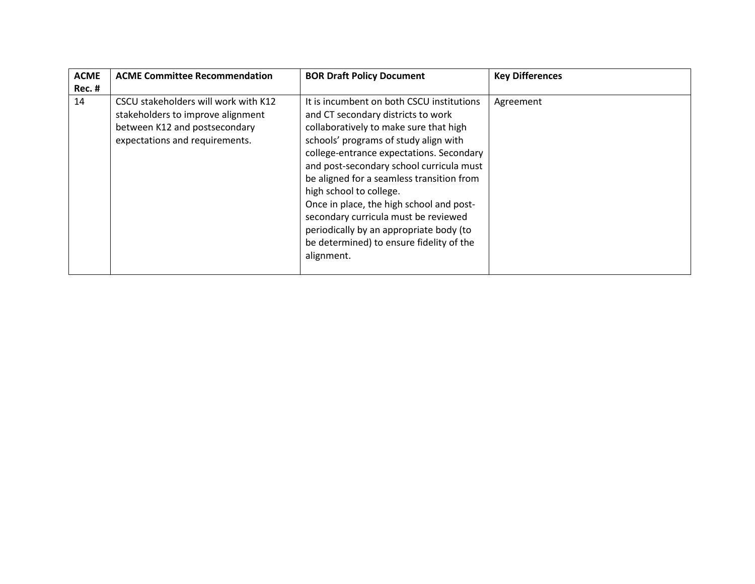| <b>ACME</b> | <b>ACME Committee Recommendation</b>                                                                                                         | <b>BOR Draft Policy Document</b>                                                                                                                                                                                                                                                                                                                                                                                                                                                                                            | <b>Key Differences</b> |
|-------------|----------------------------------------------------------------------------------------------------------------------------------------------|-----------------------------------------------------------------------------------------------------------------------------------------------------------------------------------------------------------------------------------------------------------------------------------------------------------------------------------------------------------------------------------------------------------------------------------------------------------------------------------------------------------------------------|------------------------|
| Rec. #      |                                                                                                                                              |                                                                                                                                                                                                                                                                                                                                                                                                                                                                                                                             |                        |
| 14          | CSCU stakeholders will work with K12<br>stakeholders to improve alignment<br>between K12 and postsecondary<br>expectations and requirements. | It is incumbent on both CSCU institutions<br>and CT secondary districts to work<br>collaboratively to make sure that high<br>schools' programs of study align with<br>college-entrance expectations. Secondary<br>and post-secondary school curricula must<br>be aligned for a seamless transition from<br>high school to college.<br>Once in place, the high school and post-<br>secondary curricula must be reviewed<br>periodically by an appropriate body (to<br>be determined) to ensure fidelity of the<br>alignment. | Agreement              |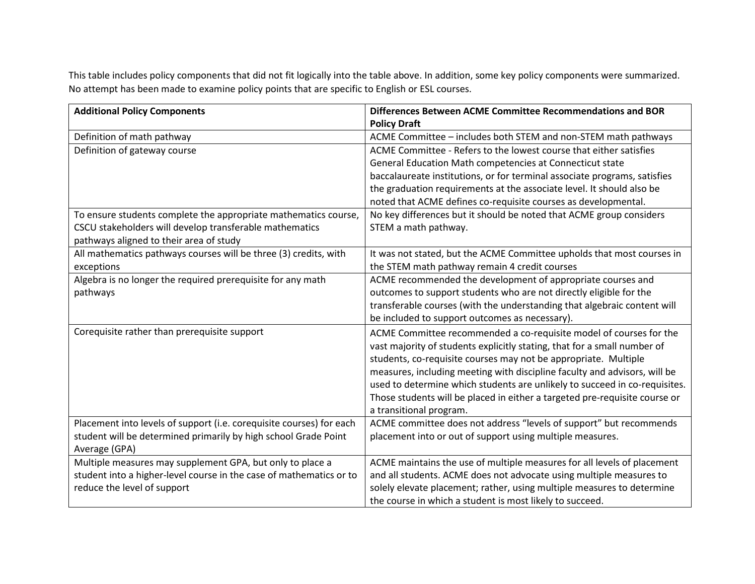This table includes policy components that did not fit logically into the table above. In addition, some key policy components were summarized. No attempt has been made to examine policy points that are specific to English or ESL courses.

| <b>Additional Policy Components</b>                                  | Differences Between ACME Committee Recommendations and BOR                 |
|----------------------------------------------------------------------|----------------------------------------------------------------------------|
|                                                                      | <b>Policy Draft</b>                                                        |
| Definition of math pathway                                           | ACME Committee - includes both STEM and non-STEM math pathways             |
| Definition of gateway course                                         | ACME Committee - Refers to the lowest course that either satisfies         |
|                                                                      | General Education Math competencies at Connecticut state                   |
|                                                                      | baccalaureate institutions, or for terminal associate programs, satisfies  |
|                                                                      | the graduation requirements at the associate level. It should also be      |
|                                                                      | noted that ACME defines co-requisite courses as developmental.             |
| To ensure students complete the appropriate mathematics course,      | No key differences but it should be noted that ACME group considers        |
| CSCU stakeholders will develop transferable mathematics              | STEM a math pathway.                                                       |
| pathways aligned to their area of study                              |                                                                            |
| All mathematics pathways courses will be three (3) credits, with     | It was not stated, but the ACME Committee upholds that most courses in     |
| exceptions                                                           | the STEM math pathway remain 4 credit courses                              |
| Algebra is no longer the required prerequisite for any math          | ACME recommended the development of appropriate courses and                |
| pathways                                                             | outcomes to support students who are not directly eligible for the         |
|                                                                      | transferable courses (with the understanding that algebraic content will   |
|                                                                      | be included to support outcomes as necessary).                             |
| Corequisite rather than prerequisite support                         | ACME Committee recommended a co-requisite model of courses for the         |
|                                                                      | vast majority of students explicitly stating, that for a small number of   |
|                                                                      | students, co-requisite courses may not be appropriate. Multiple            |
|                                                                      | measures, including meeting with discipline faculty and advisors, will be  |
|                                                                      | used to determine which students are unlikely to succeed in co-requisites. |
|                                                                      | Those students will be placed in either a targeted pre-requisite course or |
|                                                                      | a transitional program.                                                    |
| Placement into levels of support (i.e. corequisite courses) for each | ACME committee does not address "levels of support" but recommends         |
| student will be determined primarily by high school Grade Point      | placement into or out of support using multiple measures.                  |
| Average (GPA)                                                        |                                                                            |
| Multiple measures may supplement GPA, but only to place a            | ACME maintains the use of multiple measures for all levels of placement    |
| student into a higher-level course in the case of mathematics or to  | and all students. ACME does not advocate using multiple measures to        |
| reduce the level of support                                          | solely elevate placement; rather, using multiple measures to determine     |
|                                                                      | the course in which a student is most likely to succeed.                   |